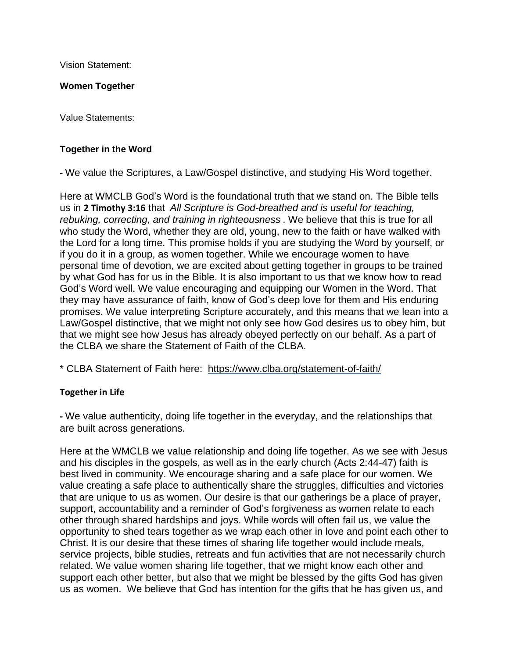Vision Statement:

## **Women Together**

Value Statements:

## **Together in the Word**

**-** We value the Scriptures, a Law/Gospel distinctive, and studying His Word together.

Here at WMCLB God's Word is the foundational truth that we stand on. The Bible tells us in **2 Timothy 3:16** that *All Scripture is God-breathed and is useful for teaching, rebuking, correcting, and training in righteousness* . We believe that this is true for all who study the Word, whether they are old, young, new to the faith or have walked with the Lord for a long time. This promise holds if you are studying the Word by yourself, or if you do it in a group, as women together. While we encourage women to have personal time of devotion, we are excited about getting together in groups to be trained by what God has for us in the Bible. It is also important to us that we know how to read God's Word well. We value encouraging and equipping our Women in the Word. That they may have assurance of faith, know of God's deep love for them and His enduring promises. We value interpreting Scripture accurately, and this means that we lean into a Law/Gospel distinctive, that we might not only see how God desires us to obey him, but that we might see how Jesus has already obeyed perfectly on our behalf. As a part of the CLBA we share the Statement of Faith of the CLBA.

\* CLBA Statement of Faith here: <https://www.clba.org/statement-of-faith/>

## **Together in Life**

**-** We value authenticity, doing life together in the everyday, and the relationships that are built across generations.

Here at the WMCLB we value relationship and doing life together. As we see with Jesus and his disciples in the gospels, as well as in the early church (Acts 2:44-47) faith is best lived in community. We encourage sharing and a safe place for our women. We value creating a safe place to authentically share the struggles, difficulties and victories that are unique to us as women. Our desire is that our gatherings be a place of prayer, support, accountability and a reminder of God's forgiveness as women relate to each other through shared hardships and joys. While words will often fail us, we value the opportunity to shed tears together as we wrap each other in love and point each other to Christ. It is our desire that these times of sharing life together would include meals, service projects, bible studies, retreats and fun activities that are not necessarily church related. We value women sharing life together, that we might know each other and support each other better, but also that we might be blessed by the gifts God has given us as women. We believe that God has intention for the gifts that he has given us, and